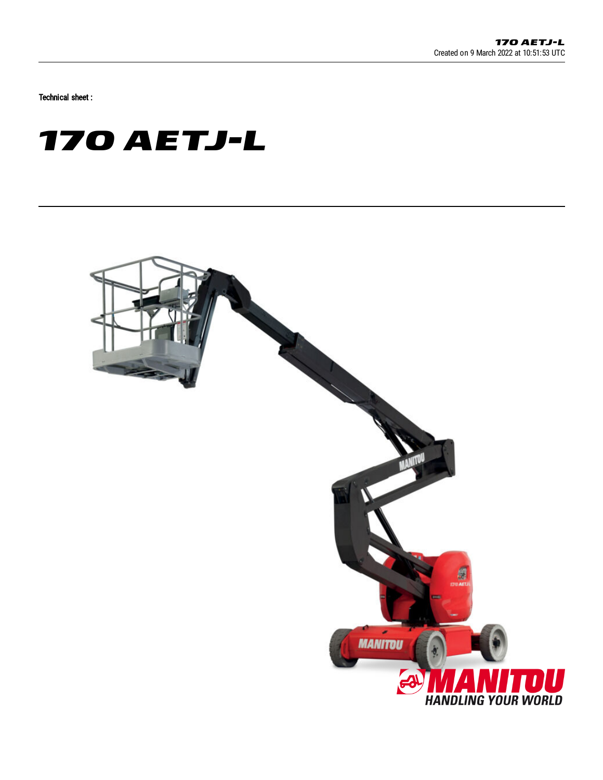Technical sheet :

# **170 AETJ-L**

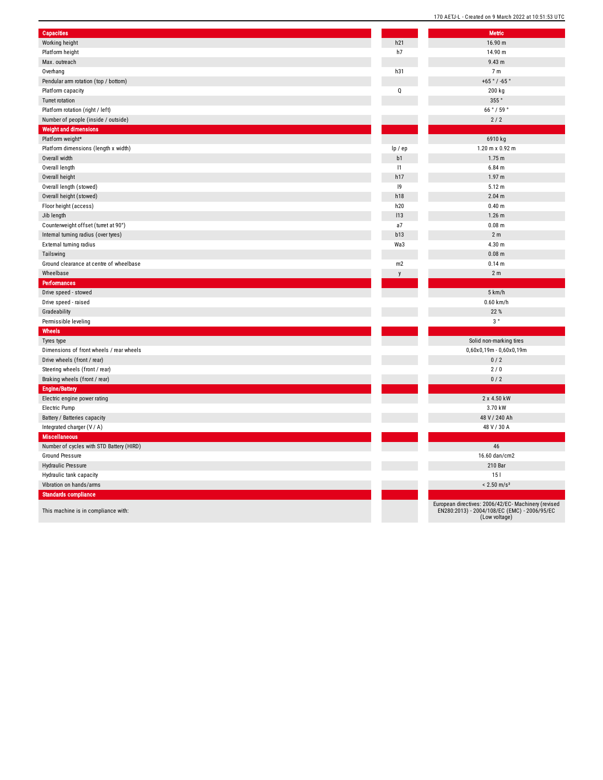| <b>Capacities</b>                        |         | <b>Metric</b>                 |
|------------------------------------------|---------|-------------------------------|
| Working height                           | h21     | 16.90 n                       |
| Platform height                          | h7      | 14.90 n                       |
| Max. outreach                            |         | 9.43 m                        |
| Overhang                                 | h31     | 7 <sub>m</sub>                |
| Pendular arm rotation (top / bottom)     |         | $+65°/ -6$                    |
| Platform capacity                        | Q       | 200 kg                        |
| <b>Turret rotation</b>                   |         | 355°                          |
| Platform rotation (right / left)         |         | 66°/59                        |
| Number of people (inside / outside)      |         | $2/2$                         |
| <b>Weight and dimensions</b>             |         |                               |
| Platform weight*                         |         | 6910 kg                       |
| Platform dimensions (length x width)     | lp / ep | $1.20 \text{ m} \times 0.$    |
| Overall width                            | b1      | 1.75 m                        |
| Overall length                           | 1       | $6.84$ m                      |
| Overall height                           | h17     | 1.97 <sub>m</sub>             |
| Overall length (stowed)                  | 9       | 5.12 m                        |
| Overall height (stowed)                  | h18     | 2.04 m                        |
| Floor height (access)                    | h20     | $0.40 \; m$                   |
| Jib length                               | 113     | $1.26$ m                      |
| Counterweight offset (turret at 90°)     | a7      | $0.08$ m                      |
| Internal turning radius (over tyres)     | b13     | 2 <sub>m</sub>                |
| External turning radius                  | Wa3     | 4.30 m                        |
| Tailswing                                |         | $0.08$ m                      |
| Ground clearance at centre of wheelbase  | m2      | 0.14 m                        |
| Wheelbase                                | y       | 2 <sub>m</sub>                |
| Performances                             |         |                               |
| Drive speed - stowed                     |         | 5 km/h                        |
| Drive speed - raised                     |         | $0.60$ km                     |
| Gradeability                             |         | 22 %                          |
| Permissible leveling                     |         | $3\,$ $^{\circ}$              |
| Wheels                                   |         |                               |
| Tyres type                               |         | Solid non-mark                |
| Dimensions of front wheels / rear wheels |         | $0,60x0,19m - 0,0$            |
| Drive wheels (front / rear)              |         | 0/2                           |
| Steering wheels (front / rear)           |         | 2/0                           |
| Braking wheels (front / rear)            |         | 0/2                           |
| <b>Engine/Battery</b>                    |         |                               |
| Electric engine power rating             |         | 2 x 4.50                      |
| Electric Pump                            |         | 3.70 kV                       |
| Battery / Batteries capacity             |         | 48 V / 240                    |
| Integrated charger (V / A)               |         | 48 V / 30                     |
| Miscellaneous                            |         |                               |
| Number of cycles with STD Battery (HIRD) |         | 46                            |
| <b>Ground Pressure</b>                   |         | 16.60 dan/                    |
| Hydraulic Pressure                       |         | 210 Ba                        |
| Hydraulic tank capacity                  |         | 151                           |
| Vibration on hands/arms                  |         | $< 2.50$ m                    |
| <b>Standards compliance</b>              |         |                               |
|                                          |         | European directives: 2006/42/ |
| This machine is in compliance with:      |         | EN280:2013) - 2004/108/EC     |

| 21             | <b>Metric</b><br>16.90 m                                                                                             |
|----------------|----------------------------------------------------------------------------------------------------------------------|
| 7              | 14.90 m                                                                                                              |
|                | 9.43 m                                                                                                               |
| 31             | 7 <sub>m</sub>                                                                                                       |
|                | $+65°/ -65°$                                                                                                         |
| j              | 200 kg                                                                                                               |
|                | 355°                                                                                                                 |
|                | 66°/59°                                                                                                              |
|                | 2/2                                                                                                                  |
|                |                                                                                                                      |
|                | 6910 kg                                                                                                              |
| ' ep           | 1.20 m x 0.92 m                                                                                                      |
| $\overline{1}$ | 1.75 <sub>m</sub>                                                                                                    |
| 1              | $6.84$ m                                                                                                             |
| 17             | 1.97 <sub>m</sub>                                                                                                    |
| 9              | 5.12 m                                                                                                               |
| 18             | 2.04 <sub>m</sub>                                                                                                    |
| 20             | 0.40 <sub>m</sub>                                                                                                    |
| 3              | $1.26$ m                                                                                                             |
| 7              | 0.08 m                                                                                                               |
| 13             | 2 <sub>m</sub>                                                                                                       |
| a3             | 4.30 m                                                                                                               |
|                | $0.08$ m                                                                                                             |
| $\overline{2}$ | 0.14 <sub>m</sub>                                                                                                    |
| y              | 2 <sub>m</sub>                                                                                                       |
|                |                                                                                                                      |
|                | 5 km/h                                                                                                               |
|                | $0.60$ km/h                                                                                                          |
|                | 22 %                                                                                                                 |
|                | 3°                                                                                                                   |
|                |                                                                                                                      |
|                | Solid non-marking tires                                                                                              |
|                | 0,60x0,19m - 0,60x0,19m                                                                                              |
|                | 0/2                                                                                                                  |
|                | 2/0                                                                                                                  |
|                | 0/2                                                                                                                  |
|                |                                                                                                                      |
|                | 2 x 4.50 kW                                                                                                          |
|                | 3.70 kW<br>48 V / 240 Ah                                                                                             |
|                | 48 V / 30 A                                                                                                          |
|                |                                                                                                                      |
|                | 46                                                                                                                   |
|                | 16.60 dan/cm2                                                                                                        |
|                | 210 Bar                                                                                                              |
|                | 151                                                                                                                  |
|                | $< 2.50$ m/s <sup>2</sup>                                                                                            |
|                |                                                                                                                      |
|                |                                                                                                                      |
|                |                                                                                                                      |
|                | European directives: 2006/42/EC- Machinery (revised<br>EN280:2013) - 2004/108/EC (EMC) - 2006/95/EC<br>(Low voltage) |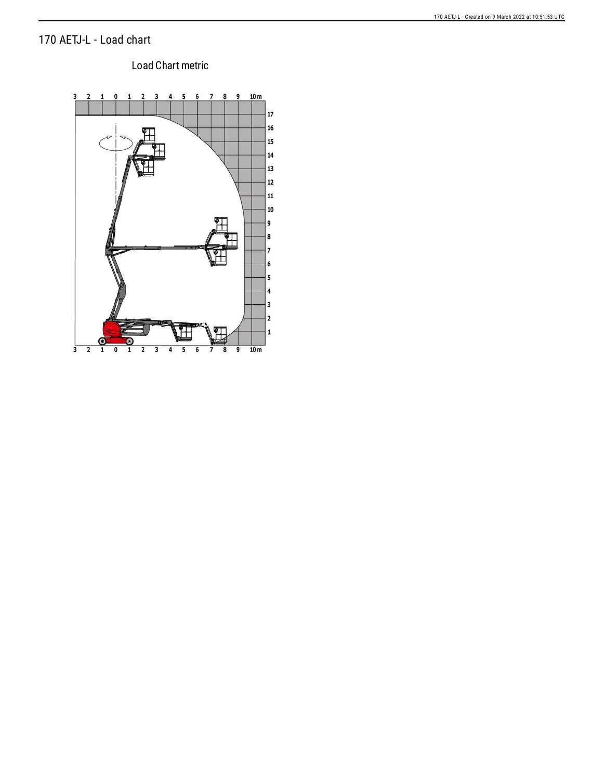## 170 AETJ-L - Load chart

### Load Chart metric

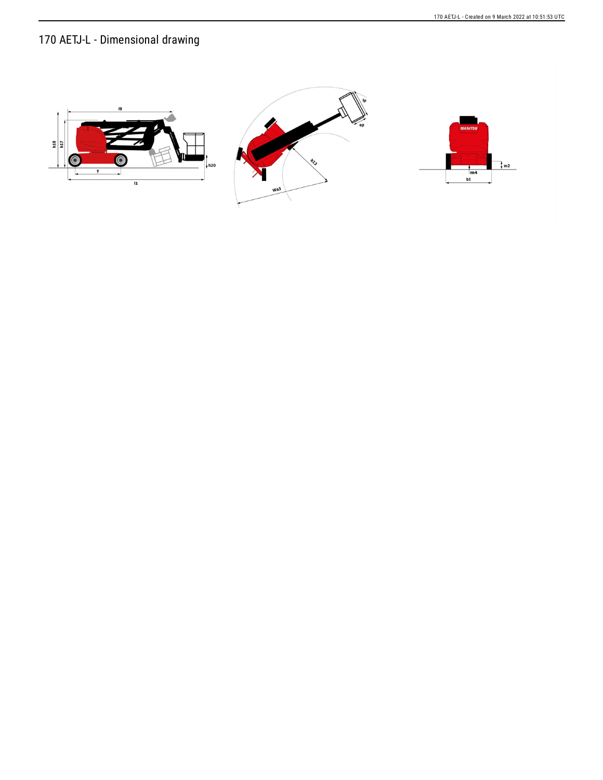# 170 AETJ-L - Dimensional drawing

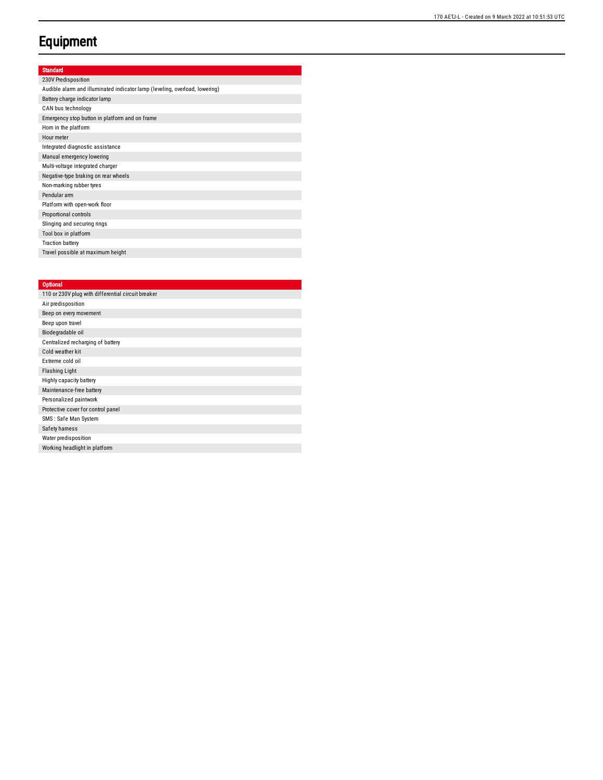# **Equipment**

### Standard

| 230V Predisposition                                                         |
|-----------------------------------------------------------------------------|
| Audible alarm and illuminated indicator lamp (leveling, overload, lowering) |
| Battery charge indicator lamp                                               |
| CAN bus technology                                                          |
| Emergency stop button in platform and on frame                              |
| Hom in the platform                                                         |
| Hour meter                                                                  |
| Integrated diagnostic assistance                                            |
| Manual emergency lowering                                                   |
| Multi-voltage integrated charger                                            |
| Negative-type braking on rear wheels                                        |
| Non-marking rubber tyres                                                    |
| Pendular arm                                                                |
| Platform with open-work floor                                               |
| Proportional controls                                                       |
| Slinging and securing rings                                                 |
| Tool box in platform                                                        |
| <b>Traction battery</b>                                                     |
| Travel possible at maximum height                                           |

#### **Optional**

| Air predisposition<br>Beep on every movement<br>Beep upon travel<br>Biodegradable oil<br>Centralized recharging of battery<br>Cold weather kit<br>Extreme cold oil<br><b>Flashing Light</b><br>Highly capacity battery<br>Maintenance-free battery<br>Personalized paintwork<br>Protective cover for control panel<br>SMS: Safe Man System<br>Safety hamess<br>Water predisposition<br>Working headlight in platform | 110 or 230V plug with differential circuit breaker |
|----------------------------------------------------------------------------------------------------------------------------------------------------------------------------------------------------------------------------------------------------------------------------------------------------------------------------------------------------------------------------------------------------------------------|----------------------------------------------------|
|                                                                                                                                                                                                                                                                                                                                                                                                                      |                                                    |
|                                                                                                                                                                                                                                                                                                                                                                                                                      |                                                    |
|                                                                                                                                                                                                                                                                                                                                                                                                                      |                                                    |
|                                                                                                                                                                                                                                                                                                                                                                                                                      |                                                    |
|                                                                                                                                                                                                                                                                                                                                                                                                                      |                                                    |
|                                                                                                                                                                                                                                                                                                                                                                                                                      |                                                    |
|                                                                                                                                                                                                                                                                                                                                                                                                                      |                                                    |
|                                                                                                                                                                                                                                                                                                                                                                                                                      |                                                    |
|                                                                                                                                                                                                                                                                                                                                                                                                                      |                                                    |
|                                                                                                                                                                                                                                                                                                                                                                                                                      |                                                    |
|                                                                                                                                                                                                                                                                                                                                                                                                                      |                                                    |
|                                                                                                                                                                                                                                                                                                                                                                                                                      |                                                    |
|                                                                                                                                                                                                                                                                                                                                                                                                                      |                                                    |
|                                                                                                                                                                                                                                                                                                                                                                                                                      |                                                    |
|                                                                                                                                                                                                                                                                                                                                                                                                                      |                                                    |
|                                                                                                                                                                                                                                                                                                                                                                                                                      |                                                    |